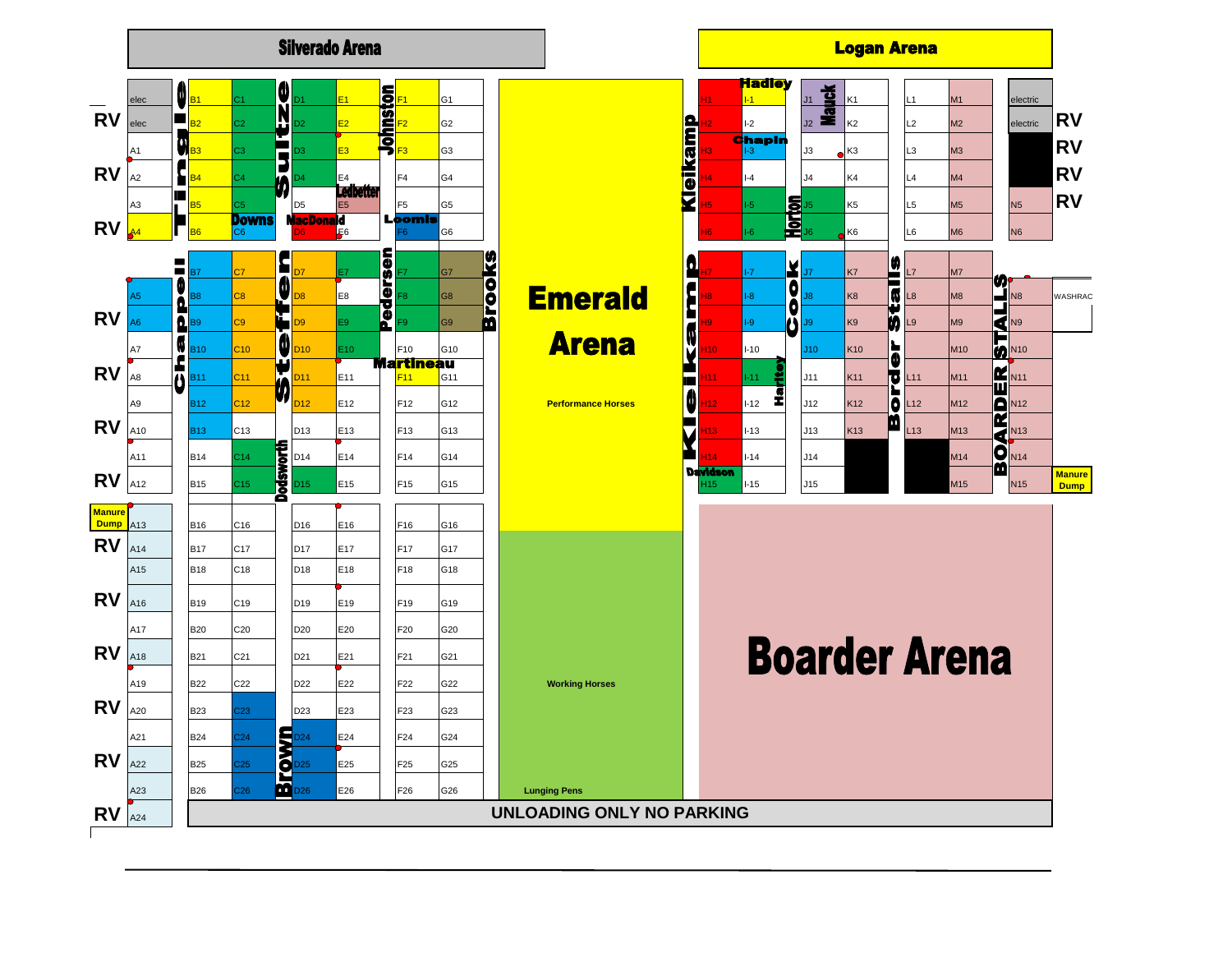